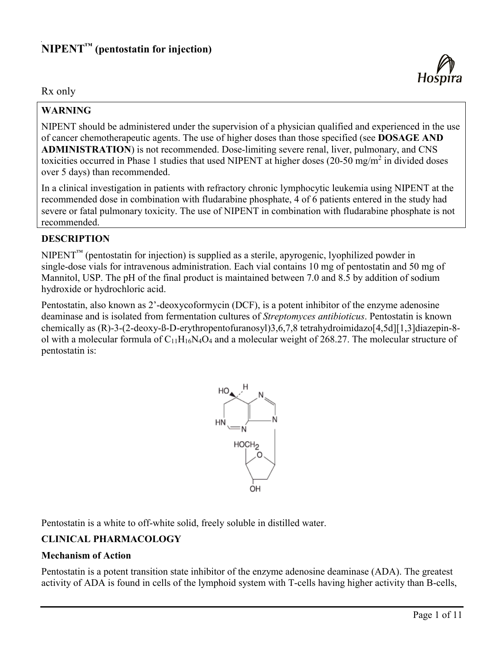# I **NIPENT™ (pentostatin for injection)**

Rx only



# **WARNING**

NIPENT should be administered under the supervision of a physician qualified and experienced in the use of cancer chemotherapeutic agents. The use of higher doses than those specified (see **DOSAGE AND ADMINISTRATION**) is not recommended. Dose-limiting severe renal, liver, pulmonary, and CNS toxicities occurred in Phase 1 studies that used NIPENT at higher doses  $(20-50 \text{ mg/m}^2 \text{ in divided doses})$ over 5 days) than recommended.

In a clinical investigation in patients with refractory chronic lymphocytic leukemia using NIPENT at the recommended dose in combination with fludarabine phosphate, 4 of 6 patients entered in the study had severe or fatal pulmonary toxicity. The use of NIPENT in combination with fludarabine phosphate is not recommended.

### **DESCRIPTION**

 $NIPENT<sup>TM</sup>$  (pentostatin for injection) is supplied as a sterile, apyrogenic, lyophilized powder in single-dose vials for intravenous administration. Each vial contains 10 mg of pentostatin and 50 mg of Mannitol, USP. The pH of the final product is maintained between 7.0 and 8.5 by addition of sodium hydroxide or hydrochloric acid.

Pentostatin, also known as 2'-deoxycoformycin (DCF), is a potent inhibitor of the enzyme adenosine deaminase and is isolated from fermentation cultures of *Streptomyces antibioticus*. Pentostatin is known chemically as  $(R)$ -3- $(2$ -deoxy- $\beta$ -D-erythropentofuranosyl)3,6,7,8 tetrahydroimidazo $[4,5d][1,3]$ diazepin-8ol with a molecular formula of  $C_{11}H_{16}N_4O_4$  and a molecular weight of 268.27. The molecular structure of pentostatin is:



Pentostatin is a white to off-white solid, freely soluble in distilled water.

### **CLINICAL PHARMACOLOGY**

### **Mechanism of Action**

Pentostatin is a potent transition state inhibitor of the enzyme adenosine deaminase (ADA). The greatest activity of ADA is found in cells of the lymphoid system with T-cells having higher activity than B-cells,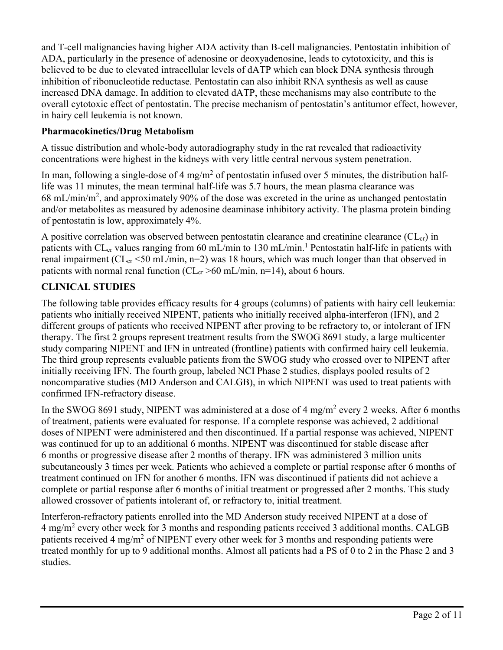and T-cell malignancies having higher ADA activity than B-cell malignancies. Pentostatin inhibition of ADA, particularly in the presence of adenosine or deoxyadenosine, leads to cytotoxicity, and this is believed to be due to elevated intracellular levels of dATP which can block DNA synthesis through inhibition of ribonucleotide reductase. Pentostatin can also inhibit RNA synthesis as well as cause increased DNA damage. In addition to elevated dATP, these mechanisms may also contribute to the overall cytotoxic effect of pentostatin. The precise mechanism of pentostatin's antitumor effect, however, in hairy cell leukemia is not known.

## **Pharmacokinetics/Drug Metabolism**

A tissue distribution and whole-body autoradiography study in the rat revealed that radioactivity concentrations were highest in the kidneys with very little central nervous system penetration.

In man, following a single-dose of 4 mg/m<sup>2</sup> of pentostatin infused over 5 minutes, the distribution halflife was 11 minutes, the mean terminal half-life was 5.7 hours, the mean plasma clearance was 68 mL/min/m<sup>2</sup>, and approximately 90% of the dose was excreted in the urine as unchanged pentostatin and/or metabolites as measured by adenosine deaminase inhibitory activity. The plasma protein binding of pentostatin is low, approximately 4%.

A positive correlation was observed between pentostatin clearance and creatinine clearance  $CL_{cr}$ ) in patients with  $CL_{cr}$  values ranging from 60 mL/min to 130 mL/min.<sup>1</sup> Pentostatin half-life in patients with renal impairment ( $CL_{cr}$  <50 mL/min, n=2) was 18 hours, which was much longer than that observed in patients with normal renal function ( $CL_{cr} > 60$  mL/min, n=14), about 6 hours.

# **CLINICAL STUDIES**

The following table provides efficacy results for 4 groups (columns) of patients with hairy cell leukemia: patients who initially received NIPENT, patients who initially received alpha-interferon (IFN), and 2 different groups of patients who received NIPENT after proving to be refractory to, or intolerant of IFN therapy. The first 2 groups represent treatment results from the SWOG 8691 study, a large multicenter study comparing NIPENT and IFN in untreated (frontline) patients with confirmed hairy cell leukemia. The third group represents evaluable patients from the SWOG study who crossed over to NIPENT after initially receiving IFN. The fourth group, labeled NCI Phase 2 studies, displays pooled results of 2 noncomparative studies (MD Anderson and CALGB), in which NIPENT was used to treat patients with confirmed IFN-refractory disease.

In the SWOG 8691 study, NIPENT was administered at a dose of 4 mg/m<sup>2</sup> every 2 weeks. After 6 months of treatment, patients were evaluated for response. If a complete response was achieved, 2 additional doses of NIPENT were administered and then discontinued. If a partial response was achieved, NIPENT was continued for up to an additional 6 months. NIPENT was discontinued for stable disease after 6 months or progressive disease after 2 months of therapy. IFN was administered 3 million units subcutaneously 3 times per week. Patients who achieved a complete or partial response after 6 months of treatment continued on IFN for another 6 months. IFN was discontinued if patients did not achieve a complete or partial response after 6 months of initial treatment or progressed after 2 months. This study allowed crossover of patients intolerant of, or refractory to, initial treatment.

Interferon-refractory patients enrolled into the MD Anderson study received NIPENT at a dose of  $4 \text{ mg/m}^2$  every other week for 3 months and responding patients received 3 additional months. CALGB patients received 4 mg/m<sup>2</sup> of NIPENT every other week for 3 months and responding patients were treated monthly for up to 9 additional months. Almost all patients had a PS of 0 to 2 in the Phase 2 and 3 studies.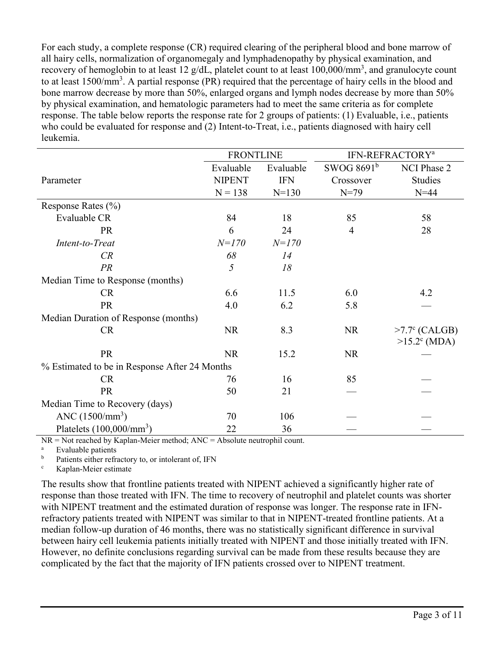For each study, a complete response (CR) required clearing of the peripheral blood and bone marrow of all hairy cells, normalization of organomegaly and lymphadenopathy by physical examination, and recovery of hemoglobin to at least 12  $g/dL$ , platelet count to at least 100,000/mm<sup>3</sup>, and granulocyte count to at least  $1500/\text{mm}^3$ . A partial response (PR) required that the percentage of hairy cells in the blood and bone marrow decrease by more than 50%, enlarged organs and lymph nodes decrease by more than 50% by physical examination, and hematologic parameters had to meet the same criteria as for complete response. The table below reports the response rate for 2 groups of patients: (1) Evaluable, i.e., patients who could be evaluated for response and (2) Intent-to-Treat, i.e., patients diagnosed with hairy cell leukemia.

|                                               | <b>FRONTLINE</b> |            | IFN-REFRACTORY <sup>a</sup> |                             |  |  |
|-----------------------------------------------|------------------|------------|-----------------------------|-----------------------------|--|--|
|                                               | Evaluable        | Evaluable  | SWOG 8691 <sup>b</sup>      | NCI Phase 2                 |  |  |
| Parameter                                     | <b>NIPENT</b>    | <b>IFN</b> | Crossover                   | Studies                     |  |  |
|                                               | $N = 138$        | $N=130$    | $N=79$                      | $N=44$                      |  |  |
| Response Rates $(\% )$                        |                  |            |                             |                             |  |  |
| Evaluable CR                                  | 84               | 18         | 85                          | 58                          |  |  |
| <b>PR</b>                                     | 6                | 24         | 4                           | 28                          |  |  |
| Intent-to-Treat                               | $N = 170$        | $N = 170$  |                             |                             |  |  |
| CR                                            | 68               | 14         |                             |                             |  |  |
| PR                                            | 5                | 18         |                             |                             |  |  |
| Median Time to Response (months)              |                  |            |                             |                             |  |  |
| <b>CR</b>                                     | 6.6              | 11.5       | 6.0                         | 4.2                         |  |  |
| <b>PR</b>                                     | 4.0              | 6.2        | 5.8                         |                             |  |  |
| Median Duration of Response (months)          |                  |            |                             |                             |  |  |
| CR                                            | <b>NR</b>        | 8.3        | <b>NR</b>                   | $>7.7$ <sup>c</sup> (CALGB) |  |  |
|                                               |                  |            |                             | $>15.2^{\circ}$ (MDA)       |  |  |
| <b>PR</b>                                     | <b>NR</b>        | 15.2       | <b>NR</b>                   |                             |  |  |
| % Estimated to be in Response After 24 Months |                  |            |                             |                             |  |  |
| <b>CR</b>                                     | 76               | 16         | 85                          |                             |  |  |
| <b>PR</b>                                     | 50               | 21         |                             |                             |  |  |
| Median Time to Recovery (days)                |                  |            |                             |                             |  |  |
| ANC $(1500/mm^3)$                             | 70               | 106        |                             |                             |  |  |
| Platelets $(100,000/\text{mm}^3)$             | 22               | 36         |                             |                             |  |  |

NR = Not reached by Kaplan-Meier method; ANC = Absolute neutrophil count.

<sup>a</sup> Evaluable patients<br> $\frac{b}{p}$  Patients either refr

Patients either refractory to, or intolerant of, IFN

<sup>c</sup> Kaplan-Meier estimate

The results show that frontline patients treated with NIPENT achieved a significantly higher rate of response than those treated with IFN. The time to recovery of neutrophil and platelet counts was shorter with NIPENT treatment and the estimated duration of response was longer. The response rate in IFNrefractory patients treated with NIPENT was similar to that in NIPENT-treated frontline patients. At a median follow-up duration of 46 months, there was no statistically significant difference in survival between hairy cell leukemia patients initially treated with NIPENT and those initially treated with IFN. However, no definite conclusions regarding survival can be made from these results because they are complicated by the fact that the majority of IFN patients crossed over to NIPENT treatment.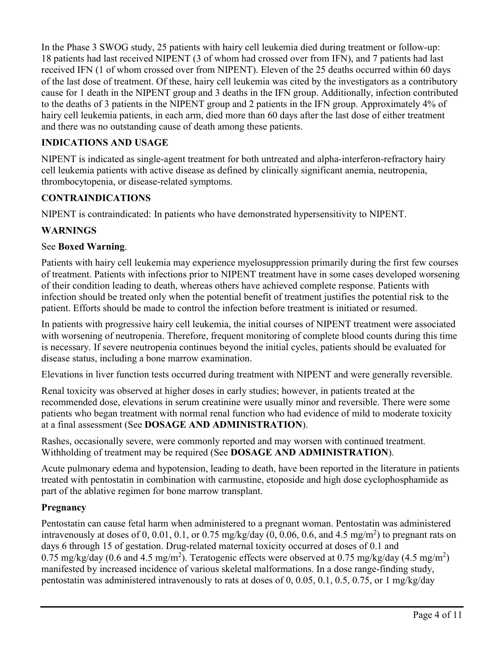In the Phase 3 SWOG study, 25 patients with hairy cell leukemia died during treatment or follow-up: 18 patients had last received NIPENT (3 of whom had crossed over from IFN), and 7 patients had last received IFN (1 of whom crossed over from NIPENT). Eleven of the 25 deaths occurred within 60 days of the last dose of treatment. Of these, hairy cell leukemia was cited by the investigators as a contributory cause for 1 death in the NIPENT group and 3 deaths in the IFN group. Additionally, infection contributed to the deaths of 3 patients in the NIPENT group and 2 patients in the IFN group. Approximately 4% of hairy cell leukemia patients, in each arm, died more than 60 days after the last dose of either treatment and there was no outstanding cause of death among these patients.

## **INDICATIONS AND USAGE**

NIPENT is indicated as single-agent treatment for both untreated and alpha-interferon-refractory hairy cell leukemia patients with active disease as defined by clinically significant anemia, neutropenia, thrombocytopenia, or disease-related symptoms.

## **CONTRAINDICATIONS**

NIPENT is contraindicated: In patients who have demonstrated hypersensitivity to NIPENT.

### **WARNINGS**

### See **Boxed Warning**.

Patients with hairy cell leukemia may experience myelosuppression primarily during the first few courses of treatment. Patients with infections prior to NIPENT treatment have in some cases developed worsening of their condition leading to death, whereas others have achieved complete response. Patients with infection should be treated only when the potential benefit of treatment justifies the potential risk to the patient. Efforts should be made to control the infection before treatment is initiated or resumed.

In patients with progressive hairy cell leukemia, the initial courses of NIPENT treatment were associated with worsening of neutropenia. Therefore, frequent monitoring of complete blood counts during this time is necessary. If severe neutropenia continues beyond the initial cycles, patients should be evaluated for disease status, including a bone marrow examination.

Elevations in liver function tests occurred during treatment with NIPENT and were generally reversible.

Renal toxicity was observed at higher doses in early studies; however, in patients treated at the recommended dose, elevations in serum creatinine were usually minor and reversible. There were some patients who began treatment with normal renal function who had evidence of mild to moderate toxicity at a final assessment (See **DOSAGE AND ADMINISTRATION**).

Rashes, occasionally severe, were commonly reported and may worsen with continued treatment. Withholding of treatment may be required (See **DOSAGE AND ADMINISTRATION**).

Acute pulmonary edema and hypotension, leading to death, have been reported in the literature in patients treated with pentostatin in combination with carmustine, etoposide and high dose cyclophosphamide as part of the ablative regimen for bone marrow transplant.

### **Pregnancy**

Pentostatin can cause fetal harm when administered to a pregnant woman. Pentostatin was administered intravenously at doses of 0, 0.01, 0.1, or 0.75 mg/kg/day  $(0, 0.06, 0.6,$  and 4.5 mg/m<sup>2</sup>) to pregnant rats on days 6 through 15 of gestation. Drug-related maternal toxicity occurred at doses of 0.1 and 0.75 mg/kg/day (0.6 and 4.5 mg/m<sup>2</sup>). Teratogenic effects were observed at 0.75 mg/kg/day (4.5 mg/m<sup>2</sup>) manifested by increased incidence of various skeletal malformations. In a dose range-finding study, pentostatin was administered intravenously to rats at doses of 0, 0.05, 0.1, 0.5, 0.75, or 1 mg/kg/day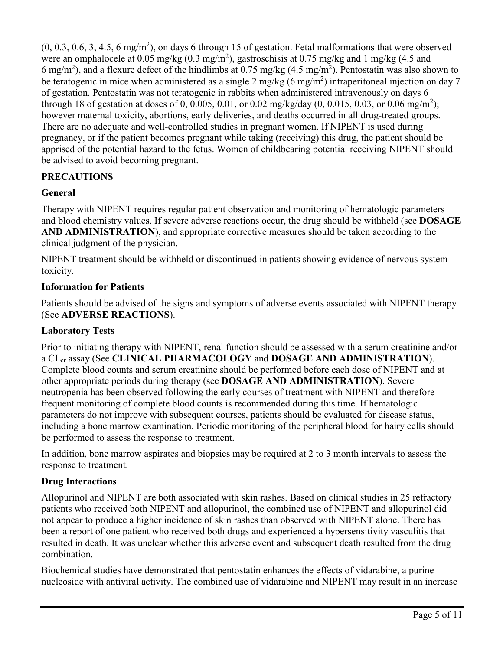$(0, 0.3, 0.6, 3, 4.5, 6 \text{ mg/m}^2)$ , on days 6 through 15 of gestation. Fetal malformations that were observed were an omphalocele at 0.05 mg/kg (0.3 mg/m<sup>2</sup>), gastroschisis at 0.75 mg/kg and 1 mg/kg (4.5 and 6 mg/m<sup>2</sup>), and a flexure defect of the hindlimbs at 0.75 mg/kg (4.5 mg/m<sup>2</sup>). Pentostatin was also shown to be teratogenic in mice when administered as a single 2 mg/kg (6 mg/m<sup>2</sup>) intraperitoneal injection on day 7 of gestation. Pentostatin was not teratogenic in rabbits when administered intravenously on days 6 through 18 of gestation at doses of 0, 0.005, 0.01, or 0.02 mg/kg/day  $(0, 0.015, 0.03,$  or 0.06 mg/m<sup>2</sup>); however maternal toxicity, abortions, early deliveries, and deaths occurred in all drug-treated groups. There are no adequate and well-controlled studies in pregnant women. If NIPENT is used during pregnancy, or if the patient becomes pregnant while taking (receiving) this drug, the patient should be apprised of the potential hazard to the fetus. Women of childbearing potential receiving NIPENT should be advised to avoid becoming pregnant.

### **PRECAUTIONS**

#### **General**

Therapy with NIPENT requires regular patient observation and monitoring of hematologic parameters and blood chemistry values. If severe adverse reactions occur, the drug should be withheld (see **DOSAGE AND ADMINISTRATION**), and appropriate corrective measures should be taken according to the clinical judgment of the physician.

NIPENT treatment should be withheld or discontinued in patients showing evidence of nervous system toxicity.

#### **Information for Patients**

Patients should be advised of the signs and symptoms of adverse events associated with NIPENT therapy (See **ADVERSE REACTIONS**).

#### **Laboratory Tests**

Prior to initiating therapy with NIPENT, renal function should be assessed with a serum creatinine and/or a CLcr assay (See **CLINICAL PHARMACOLOGY** and **DOSAGE AND ADMINISTRATION**). Complete blood counts and serum creatinine should be performed before each dose of NIPENT and at other appropriate periods during therapy (see **DOSAGE AND ADMINISTRATION**). Severe neutropenia has been observed following the early courses of treatment with NIPENT and therefore frequent monitoring of complete blood counts is recommended during this time. If hematologic parameters do not improve with subsequent courses, patients should be evaluated for disease status, including a bone marrow examination. Periodic monitoring of the peripheral blood for hairy cells should be performed to assess the response to treatment.

In addition, bone marrow aspirates and biopsies may be required at 2 to 3 month intervals to assess the response to treatment.

### **Drug Interactions**

Allopurinol and NIPENT are both associated with skin rashes. Based on clinical studies in 25 refractory patients who received both NIPENT and allopurinol, the combined use of NIPENT and allopurinol did not appear to produce a higher incidence of skin rashes than observed with NIPENT alone. There has been a report of one patient who received both drugs and experienced a hypersensitivity vasculitis that resulted in death. It was unclear whether this adverse event and subsequent death resulted from the drug combination.

Biochemical studies have demonstrated that pentostatin enhances the effects of vidarabine, a purine nucleoside with antiviral activity. The combined use of vidarabine and NIPENT may result in an increase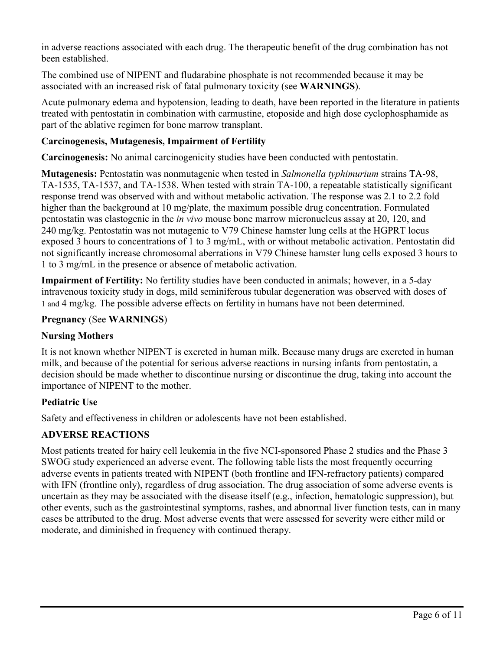in adverse reactions associated with each drug. The therapeutic benefit of the drug combination has not been established.

The combined use of NIPENT and fludarabine phosphate is not recommended because it may be associated with an increased risk of fatal pulmonary toxicity (see **WARNINGS**).

Acute pulmonary edema and hypotension, leading to death, have been reported in the literature in patients treated with pentostatin in combination with carmustine, etoposide and high dose cyclophosphamide as part of the ablative regimen for bone marrow transplant.

## **Carcinogenesis, Mutagenesis, Impairment of Fertility**

**Carcinogenesis:** No animal carcinogenicity studies have been conducted with pentostatin.

**Mutagenesis:** Pentostatin was nonmutagenic when tested in *Salmonella typhimurium* strains TA-98, TA-1535, TA-1537, and TA-1538. When tested with strain TA-100, a repeatable statistically significant response trend was observed with and without metabolic activation. The response was 2.1 to 2.2 fold higher than the background at 10 mg/plate, the maximum possible drug concentration. Formulated pentostatin was clastogenic in the *in vivo* mouse bone marrow micronucleus assay at 20, 120, and 240 mg/kg. Pentostatin was not mutagenic to V79 Chinese hamster lung cells at the HGPRT locus exposed 3 hours to concentrations of 1 to 3 mg/mL, with or without metabolic activation. Pentostatin did not significantly increase chromosomal aberrations in V79 Chinese hamster lung cells exposed 3 hours to 1 to 3 mg/mL in the presence or absence of metabolic activation.

**Impairment of Fertility:** No fertility studies have been conducted in animals; however, in a 5-day intravenous toxicity study in dogs, mild seminiferous tubular degeneration was observed with doses of 1 and 4 mg/kg. The possible adverse effects on fertility in humans have not been determined.

#### **Pregnancy** (See **WARNINGS**)

### **Nursing Mothers**

It is not known whether NIPENT is excreted in human milk. Because many drugs are excreted in human milk, and because of the potential for serious adverse reactions in nursing infants from pentostatin, a decision should be made whether to discontinue nursing or discontinue the drug, taking into account the importance of NIPENT to the mother.

### **Pediatric Use**

Safety and effectiveness in children or adolescents have not been established.

### **ADVERSE REACTIONS**

Most patients treated for hairy cell leukemia in the five NCI-sponsored Phase 2 studies and the Phase 3 SWOG study experienced an adverse event. The following table lists the most frequently occurring adverse events in patients treated with NIPENT (both frontline and IFN-refractory patients) compared with IFN (frontline only), regardless of drug association. The drug association of some adverse events is uncertain as they may be associated with the disease itself (e.g., infection, hematologic suppression), but other events, such as the gastrointestinal symptoms, rashes, and abnormal liver function tests, can in many cases be attributed to the drug. Most adverse events that were assessed for severity were either mild or moderate, and diminished in frequency with continued therapy.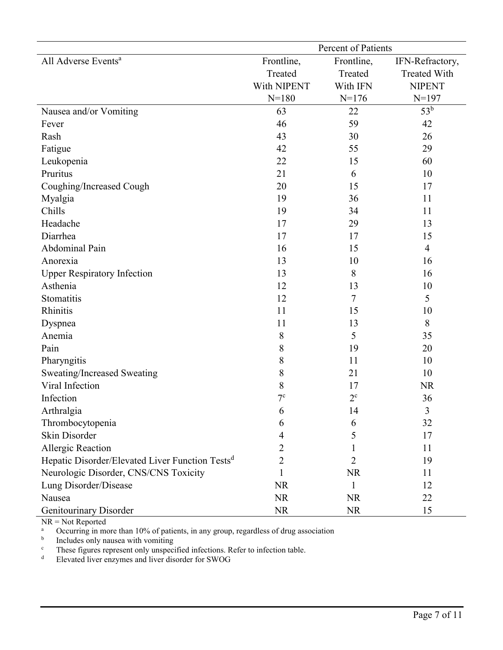|                                                             | Percent of Patients |             |                     |
|-------------------------------------------------------------|---------------------|-------------|---------------------|
| All Adverse Events <sup>a</sup>                             | Frontline,          | Frontline,  | IFN-Refractory,     |
|                                                             | Treated             | Treated     | <b>Treated With</b> |
|                                                             | With NIPENT         | With IFN    | <b>NIPENT</b>       |
|                                                             | $N = 180$           | $N=176$     | $N=197$             |
| Nausea and/or Vomiting                                      | 63                  | 22          | 53 <sup>b</sup>     |
| Fever                                                       | 46                  | 59          | 42                  |
| Rash                                                        | 43                  | 30          | 26                  |
| Fatigue                                                     | 42                  | 55          | 29                  |
| Leukopenia                                                  | 22                  | 15          | 60                  |
| Pruritus                                                    | 21                  | 6           | 10                  |
| Coughing/Increased Cough                                    | 20                  | 15          | 17                  |
| Myalgia                                                     | 19                  | 36          | 11                  |
| Chills                                                      | 19                  | 34          | 11                  |
| Headache                                                    | 17                  | 29          | 13                  |
| Diarrhea                                                    | 17                  | 17          | 15                  |
| Abdominal Pain                                              | 16                  | 15          | $\overline{4}$      |
| Anorexia                                                    | 13                  | 10          | 16                  |
| <b>Upper Respiratory Infection</b>                          | 13                  | 8           | 16                  |
| Asthenia                                                    | 12                  | 13          | 10                  |
| Stomatitis                                                  | 12                  | 7           | 5                   |
| Rhinitis                                                    | 11                  | 15          | 10                  |
| Dyspnea                                                     | 11                  | 13          | 8                   |
| Anemia                                                      | 8                   | 5           | 35                  |
| Pain                                                        | 8                   | 19          | 20                  |
| Pharyngitis                                                 | 8                   | 11          | 10                  |
| Sweating/Increased Sweating                                 | 8                   | 21          | 10                  |
| Viral Infection                                             | 8                   | 17          | <b>NR</b>           |
| Infection                                                   | $7^{\circ}$         | $2^{\circ}$ | 36                  |
| Arthralgia                                                  | 6                   | 14          | 3                   |
| Thrombocytopenia                                            | 6                   | 6           | 32                  |
| Skin Disorder                                               | 4                   | 5           | 17                  |
| Allergic Reaction                                           | 2                   |             | 11                  |
| Hepatic Disorder/Elevated Liver Function Tests <sup>d</sup> | $\overline{c}$      | 2           | 19                  |
| Neurologic Disorder, CNS/CNS Toxicity                       | $\mathbf{1}$        | <b>NR</b>   | 11                  |
| Lung Disorder/Disease                                       | <b>NR</b>           | 1           | 12                  |
| Nausea                                                      | NR                  | <b>NR</b>   | 22                  |
| <b>Genitourinary Disorder</b>                               | <b>NR</b>           | <b>NR</b>   | 15                  |

NR = Not Reported

<sup>a</sup> Occurring in more than 10% of patients, in any group, regardless of drug association<br><sup>b</sup> Includes only nausea with vomiting

 $c$  These figures represent only unspecified infections. Refer to infection table.

<sup>d</sup> Elevated liver enzymes and liver disorder for SWOG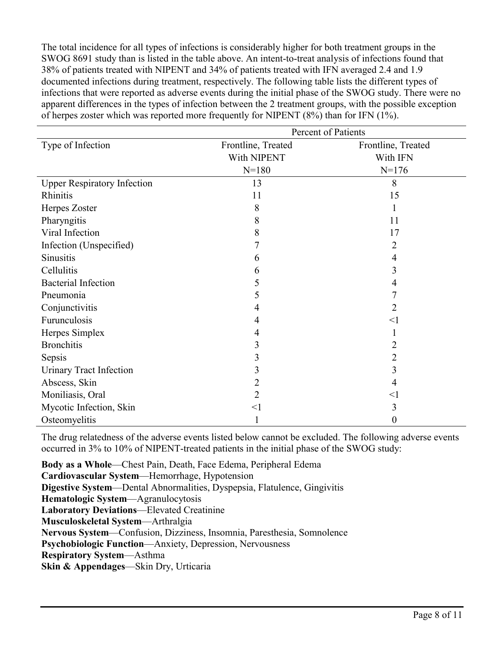The total incidence for all types of infections is considerably higher for both treatment groups in the SWOG 8691 study than is listed in the table above. An intent-to-treat analysis of infections found that 38% of patients treated with NIPENT and 34% of patients treated with IFN averaged 2.4 and 1.9 documented infections during treatment, respectively. The following table lists the different types of infections that were reported as adverse events during the initial phase of the SWOG study. There were no apparent differences in the types of infection between the 2 treatment groups, with the possible exception of herpes zoster which was reported more frequently for NIPENT (8%) than for IFN (1%).

|                                    | Percent of Patients |                    |  |
|------------------------------------|---------------------|--------------------|--|
| Type of Infection                  | Frontline, Treated  | Frontline, Treated |  |
|                                    | With NIPENT         | With IFN           |  |
|                                    | $N = 180$           | $N=176$            |  |
| <b>Upper Respiratory Infection</b> | 13                  | 8                  |  |
| Rhinitis                           | 11                  | 15                 |  |
| Herpes Zoster                      | 8                   |                    |  |
| Pharyngitis                        | 8                   | 11                 |  |
| Viral Infection                    | 8                   | 17                 |  |
| Infection (Unspecified)            |                     | 2                  |  |
| <b>Sinusitis</b>                   | 6                   | 4                  |  |
| Cellulitis                         | 6                   | 3                  |  |
| <b>Bacterial Infection</b>         | 5                   | 4                  |  |
| Pneumonia                          | 5                   |                    |  |
| Conjunctivitis                     | 4                   | 2                  |  |
| Furunculosis                       | 4                   | $\leq$ 1           |  |
| Herpes Simplex                     | 4                   |                    |  |
| <b>Bronchitis</b>                  | 3                   | 2                  |  |
| Sepsis                             | 3                   | 2                  |  |
| <b>Urinary Tract Infection</b>     | 3                   | 3                  |  |
| Abscess, Skin                      | $\overline{2}$      | 4                  |  |
| Moniliasis, Oral                   | $\overline{2}$      | $\leq$ 1           |  |
| Mycotic Infection, Skin            | $<$ $\!1$           | 3                  |  |
| Osteomyelitis                      |                     | 0                  |  |

The drug relatedness of the adverse events listed below cannot be excluded. The following adverse events occurred in 3% to 10% of NIPENT-treated patients in the initial phase of the SWOG study:

**Body as a Whole**—Chest Pain, Death, Face Edema, Peripheral Edema **Cardiovascular System**—Hemorrhage, Hypotension **Digestive System**—Dental Abnormalities, Dyspepsia, Flatulence, Gingivitis **Hematologic System**—Agranulocytosis **Laboratory Deviations**—Elevated Creatinine **Musculoskeletal System**—Arthralgia **Nervous System**—Confusion, Dizziness, Insomnia, Paresthesia, Somnolence **Psychobiologic Function**—Anxiety, Depression, Nervousness **Respiratory System**—Asthma **Skin & Appendages**—Skin Dry, Urticaria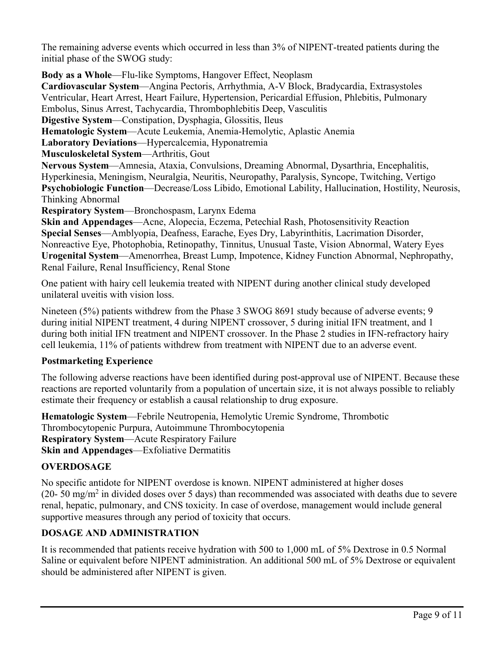The remaining adverse events which occurred in less than 3% of NIPENT-treated patients during the initial phase of the SWOG study:

**Body as a Whole**—Flu-like Symptoms, Hangover Effect, Neoplasm **Cardiovascular System**—Angina Pectoris, Arrhythmia, A-V Block, Bradycardia, Extrasystoles Ventricular, Heart Arrest, Heart Failure, Hypertension, Pericardial Effusion, Phlebitis, Pulmonary Embolus, Sinus Arrest, Tachycardia, Thrombophlebitis Deep, Vasculitis **Digestive System**—Constipation, Dysphagia, Glossitis, Ileus **Hematologic System**—Acute Leukemia, Anemia-Hemolytic, Aplastic Anemia **Laboratory Deviations**—Hypercalcemia, Hyponatremia **Musculoskeletal System**—Arthritis, Gout **Nervous System**—Amnesia, Ataxia, Convulsions, Dreaming Abnormal, Dysarthria, Encephalitis, Hyperkinesia, Meningism, Neuralgia, Neuritis, Neuropathy, Paralysis, Syncope, Twitching, Vertigo **Psychobiologic Function**—Decrease/Loss Libido, Emotional Lability, Hallucination, Hostility, Neurosis, Thinking Abnormal **Respiratory System**—Bronchospasm, Larynx Edema **Skin and Appendages**—Acne, Alopecia, Eczema, Petechial Rash, Photosensitivity Reaction

**Special Senses**—Amblyopia, Deafness, Earache, Eyes Dry, Labyrinthitis, Lacrimation Disorder, Nonreactive Eye, Photophobia, Retinopathy, Tinnitus, Unusual Taste, Vision Abnormal, Watery Eyes **Urogenital System**—Amenorrhea, Breast Lump, Impotence, Kidney Function Abnormal, Nephropathy, Renal Failure, Renal Insufficiency, Renal Stone

One patient with hairy cell leukemia treated with NIPENT during another clinical study developed unilateral uveitis with vision loss.

Nineteen (5%) patients withdrew from the Phase 3 SWOG 8691 study because of adverse events; 9 during initial NIPENT treatment, 4 during NIPENT crossover, 5 during initial IFN treatment, and 1 during both initial IFN treatment and NIPENT crossover. In the Phase 2 studies in IFN-refractory hairy cell leukemia, 11% of patients withdrew from treatment with NIPENT due to an adverse event.

### **Postmarketing Experience**

The following adverse reactions have been identified during post-approval use of NIPENT. Because these reactions are reported voluntarily from a population of uncertain size, it is not always possible to reliably estimate their frequency or establish a causal relationship to drug exposure.

**Hematologic System**—Febrile Neutropenia, Hemolytic Uremic Syndrome, Thrombotic Thrombocytopenic Purpura, Autoimmune Thrombocytopenia **Respiratory System**—Acute Respiratory Failure **Skin and Appendages**—Exfoliative Dermatitis

### **OVERDOSAGE**

No specific antidote for NIPENT overdose is known. NIPENT administered at higher doses (20- 50 mg/m<sup>2</sup> in divided doses over 5 days) than recommended was associated with deaths due to severe renal, hepatic, pulmonary, and CNS toxicity. In case of overdose, management would include general supportive measures through any period of toxicity that occurs.

### **DOSAGE AND ADMINISTRATION**

It is recommended that patients receive hydration with 500 to 1,000 mL of 5% Dextrose in 0.5 Normal Saline or equivalent before NIPENT administration. An additional 500 mL of 5% Dextrose or equivalent should be administered after NIPENT is given.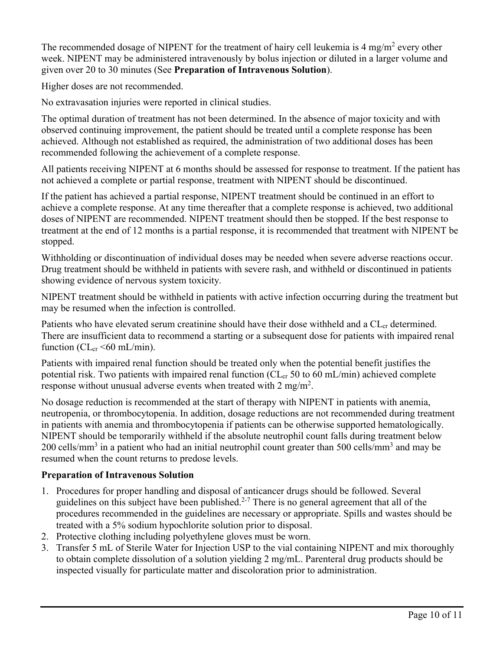The recommended dosage of NIPENT for the treatment of hairy cell leukemia is  $4 \text{ mg/m}^2$  every other week. NIPENT may be administered intravenously by bolus injection or diluted in a larger volume and given over 20 to 30 minutes (See **Preparation of Intravenous Solution**).

Higher doses are not recommended.

No extravasation injuries were reported in clinical studies.

The optimal duration of treatment has not been determined. In the absence of major toxicity and with observed continuing improvement, the patient should be treated until a complete response has been achieved. Although not established as required, the administration of two additional doses has been recommended following the achievement of a complete response.

All patients receiving NIPENT at 6 months should be assessed for response to treatment. If the patient has not achieved a complete or partial response, treatment with NIPENT should be discontinued.

If the patient has achieved a partial response, NIPENT treatment should be continued in an effort to achieve a complete response. At any time thereafter that a complete response is achieved, two additional doses of NIPENT are recommended. NIPENT treatment should then be stopped. If the best response to treatment at the end of 12 months is a partial response, it is recommended that treatment with NIPENT be stopped.

Withholding or discontinuation of individual doses may be needed when severe adverse reactions occur. Drug treatment should be withheld in patients with severe rash, and withheld or discontinued in patients showing evidence of nervous system toxicity.

NIPENT treatment should be withheld in patients with active infection occurring during the treatment but may be resumed when the infection is controlled.

Patients who have elevated serum creatinine should have their dose withheld and a  $CL<sub>cr</sub>$  determined. There are insufficient data to recommend a starting or a subsequent dose for patients with impaired renal function ( $CL_{cr}$  <60 mL/min).

Patients with impaired renal function should be treated only when the potential benefit justifies the potential risk. Two patients with impaired renal function ( $CL_{cr}$  50 to 60 mL/min) achieved complete response without unusual adverse events when treated with 2 mg/m<sup>2</sup>.

No dosage reduction is recommended at the start of therapy with NIPENT in patients with anemia, neutropenia, or thrombocytopenia. In addition, dosage reductions are not recommended during treatment in patients with anemia and thrombocytopenia if patients can be otherwise supported hematologically. NIPENT should be temporarily withheld if the absolute neutrophil count falls during treatment below 200 cells/mm<sup>3</sup> in a patient who had an initial neutrophil count greater than 500 cells/mm<sup>3</sup> and may be resumed when the count returns to predose levels.

# **Preparation of Intravenous Solution**

- 1. Procedures for proper handling and disposal of anticancer drugs should be followed. Several guidelines on this subject have been published.<sup>2-7</sup> There is no general agreement that all of the procedures recommended in the guidelines are necessary or appropriate. Spills and wastes should be treated with a 5% sodium hypochlorite solution prior to disposal.
- 2. Protective clothing including polyethylene gloves must be worn.
- 3. Transfer 5 mL of Sterile Water for Injection USP to the vial containing NIPENT and mix thoroughly to obtain complete dissolution of a solution yielding 2 mg/mL. Parenteral drug products should be inspected visually for particulate matter and discoloration prior to administration.